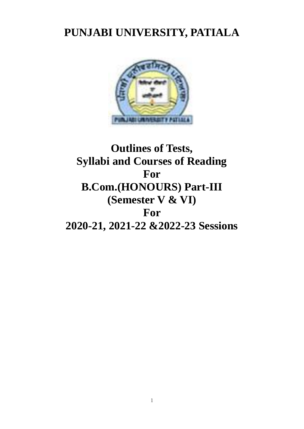# **PUNJABI UNIVERSITY, PATIALA**



# **Outlines of Tests, Syllabi and Courses of Reading For B.Com.(HONOURS) Part-III (Semester V & VI) For 2020-21, 2021-22 &2022-23 Sessions**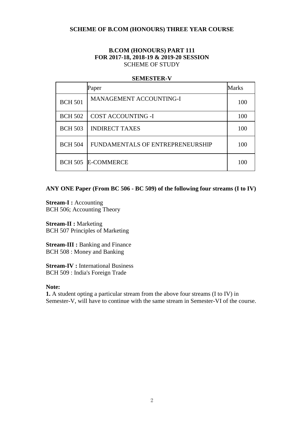# **SCHEME OF B.COM (HONOURS) THREE YEAR COURSE**

# **B.COM (HONOURS) PART 111 FOR 2017-18, 2018-19 & 2019-20 SESSION** SCHEME OF STUDY

## **SEMESTER-V**

|                | Paper                            | Marks |
|----------------|----------------------------------|-------|
| <b>BCH 501</b> | <b>MANAGEMENT ACCOUNTING-I</b>   | 100   |
| <b>BCH 502</b> | <b>COST ACCOUNTING -I</b>        | 100   |
| <b>BCH 503</b> | <b>INDIRECT TAXES</b>            | 100   |
| <b>BCH 504</b> | FUNDAMENTALS OF ENTREPRENEURSHIP | 100   |
|                | <b>BCH 505 E-COMMERCE</b>        | 100   |

# **ANY ONE Paper (From BC 506 - BC 509) of the following four streams (I to IV)**

**Stream-I:** Accounting BCH 506; Accounting Theory

**Stream-II : Marketing** BCH 507 Principles of Marketing

**Stream-III : Banking and Finance** BCH 508 : Money and Banking

**Stream-IV : International Business** BCH 509 : India's Foreign Trade

# **Note:**

**1.** A student opting a particular stream from the above four streams (I to IV) in Semester-V, will have to continue with the same stream in Semester-VI of the course.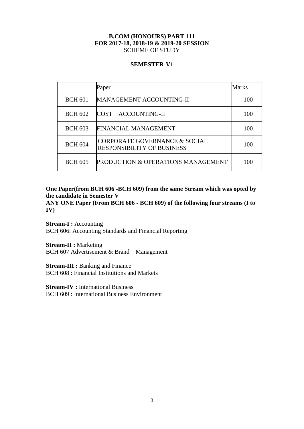# **B.COM (HONOURS) PART 111 FOR 2017-18, 2018-19 & 2019-20 SESSION** SCHEME OF STUDY

# **SEMESTER-V1**

|                | Paper                                                              | Marks |
|----------------|--------------------------------------------------------------------|-------|
| <b>BCH 601</b> | <b>MANAGEMENT ACCOUNTING-II</b>                                    | 100   |
| <b>BCH 602</b> | COST ACCOUNTING-II                                                 | 100   |
| <b>BCH 603</b> | FINANCIAL MANAGEMENT                                               | 100   |
| <b>BCH 604</b> | CORPORATE GOVERNANCE & SOCIAL<br><b>RESPONSIBILITY OF BUSINESS</b> | 100   |
| <b>BCH 605</b> | PRODUCTION & OPERATIONS MANAGEMENT                                 | 100   |

**One Paper(from BCH 606 -BCH 609) from the same Stream which was opted by the candidate in Semester V**

**ANY ONE Paper (From BCH 606 - BCH 609) of the following four streams (I to IV)**

**Stream-I:** Accounting BCH 606: Accounting Standards and Financial Reporting

**Stream-II : Marketing** BCH 607 Advertisement & Brand Management

**Stream-III : Banking and Finance** BCH 608 : Financial Institutions and Markets

**Stream-IV : International Business** BCH 609 : International Business Environment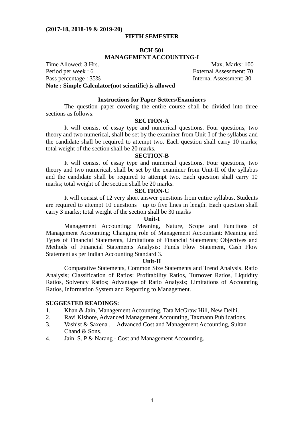## **FIFTH SEMESTER**

## **BCH-501**

# **MANAGEMENT ACCOUNTING-I**

Time Allowed: 3 Hrs. Max. Marks: 100 Period per week : 6 External Assessment: 70 Pass percentage : 35% Internal Assessment: 30 **Note : Simple Calculator(not scientific) is allowed**

**Instructions for Paper-Setters/Examiners**

The question paper covering the entire course shall be divided into three sections as follows:

# **SECTION-A**

It will consist of essay type and numerical questions. Four questions, two theory and two numerical, shall be set by the examiner from Unit-I of the syllabus and the candidate shall be required to attempt two. Each question shall carry 10 marks; total weight of the section shall be 20 marks.

#### **SECTION-B**

It will consist of essay type and numerical questions. Four questions, two theory and two numerical, shall be set by the examiner from Unit-II of the syllabus and the candidate shall be required to attempt two. Each question shall carry 10 marks; total weight of the section shall be 20 marks.

#### **SECTION-C**

It will consist of 12 very short answer questions from entire syllabus. Students are required to attempt 10 questions up to five lines in length. Each question shall carry 3 marks; total weight of the section shall be 30 marks

#### **Unit-I**

Management Accounting: Meaning, Nature, Scope and Functions of Management Accounting; Changing role of Management Accountant: Meaning and Types of Financial Statements, Limitations of Financial Statements; Objectives and Methods of Financial Statements Analysis: Funds Flow Statement, Cash Flow Statement as per Indian Accounting Standard 3.

#### **Unit-II**

Comparative Statements, Common Size Statements and Trend Analysis. Ratio Analysis; Classification of Ratios: Profitability Ratios, Turnover Ratios, Liquidity Ratios, Solvency Ratios; Advantage of Ratio Analysis; Limitations of Accounting Ratios, Information System and Reporting to Management.

- 1. Khan & Jain, Management Accounting, Tata McGraw Hill, New Delhi.
- 2. Ravi Kishore, Advanced Management Accounting, Taxmann Publications.
- 3. Vashist & Saxena , Advanced Cost and Management Accounting, Sultan Chand & Sons.
- 4. Jain. S. P & Narang Cost and Management Accounting.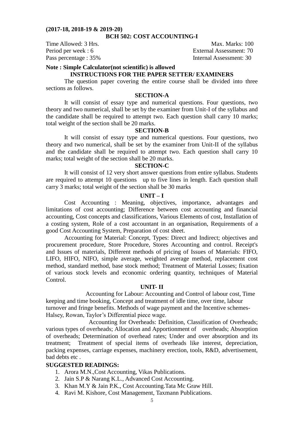# **BCH 502: COST ACCOUNTING-I**

Time Allowed: 3 Hrs. Max. Marks: 100

Period per week : 6 External Assessment: 70 Pass percentage : 35% Internal Assessment: 30

# **Note : Simple Calculator(not scientific) is allowed**

## **INSTRUCTIONS FOR THE PAPER SETTER/ EXAMINERS**

The question paper covering the entire course shall be divided into three sections as follows.

# **SECTION-A**

It will consist of essay type and numerical questions. Four questions, two theory and two numerical, shall be set by the examiner from Unit-I of the syllabus and the candidate shall be required to attempt two. Each question shall carry 10 marks; total weight of the section shall be 20 marks.

#### **SECTION-B**

It will consist of essay type and numerical questions. Four questions, two theory and two numerical, shall be set by the examiner from Unit-II of the syllabus and the candidate shall be required to attempt two. Each question shall carry 10 marks; total weight of the section shall be 20 marks.

#### **SECTION-C**

It will consist of 12 very short answer questions from entire syllabus. Students are required to attempt 10 questions up to five lines in length. Each question shall carry 3 marks; total weight of the section shall be 30 marks

#### **UNIT – I**

 Cost Accounting : Meaning, objectives, importance, advantages and limitations of cost accounting; Difference between cost accounting and financial accounting, Cost concepts and classifications, Various Elements of cost, Installation of a costing system, Role of a cost accountant in an organisation, Requirements of a good Cost Accounting System, Preparation of cost sheet.

Accounting for Material: Concept, Types: Direct and Indirect; objectives and procurement procedure, Store Procedure, Stores Accounting and control. Receipt's and Issues of materials, Different methods of pricing of Issues of Materials: FIFO, LIFO, HIFO, NIFO, simple average, weighted average method, replacement cost method, standard method, base stock method; Treatment of Material Losses; fixation of various stock levels and economic ordering quantity, techniques of Material Control.

#### **UNIT- II**

 Accounting for Labour: Accounting and Control of labour cost, Time keeping and time booking, Concept and treatment of idle time, over time, labour turnover and fringe benefits. Methods of wage payment and the Incentive schemes-Halsey, Rowan, Taylor's Differential piece wage.

 Accounting for Overheads: Definition, Classification of Overheads; various types of overheads; Allocation and Apportionment of overheads; Absorption of overheads; Determination of overhead rates; Under and over absorption and its treatment; Treatment of special items of overheads like interest, depreciation, packing expenses, carriage expenses, machinery erection, tools, R&D, advertisement, bad debts etc .

- 1. Arora M.N.,Cost Accounting, Vikas Publications.
- 2. Jain S.P & Narang K.L., Advanced Cost Accounting.
- 3. Khan M.Y & Jain P.K., Cost Accounting.Tata Mc Graw Hill.
- 4. Ravi M. Kishore, Cost Management, Taxmann Publications.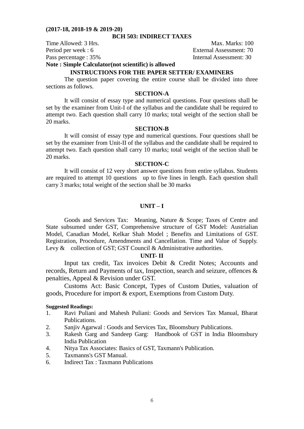# **BCH 503: INDIRECT TAXES**

Time Allowed: 3 Hrs. Max. Marks: 100

Period per week : 6 External Assessment: 70 Pass percentage : 35% Internal Assessment: 30

**Note : Simple Calculator(not scientific) is allowed**

# **INSTRUCTIONS FOR THE PAPER SETTER/ EXAMINERS**

The question paper covering the entire course shall be divided into three sections as follows.

## **SECTION-A**

It will consist of essay type and numerical questions. Four questions shall be set by the examiner from Unit-I of the syllabus and the candidate shall be required to attempt two. Each question shall carry 10 marks; total weight of the section shall be 20 marks.

## **SECTION-B**

It will consist of essay type and numerical questions. Four questions shall be set by the examiner from Unit-II of the syllabus and the candidate shall be required to attempt two. Each question shall carry 10 marks; total weight of the section shall be 20 marks.

#### **SECTION-C**

It will consist of 12 very short answer questions from entire syllabus. Students are required to attempt 10 questions up to five lines in length. Each question shall carry 3 marks; total weight of the section shall be 30 marks

## **UNIT – I**

Goods and Services Tax: Meaning, Nature & Scope; Taxes of Centre and State subsumed under GST, Comprehensive structure of GST Model: Austrialian Model, Canadian Model, Kelkar Shah Model ; Benefits and Limitations of GST. Registration, Procedure, Amendments and Cancellation. Time and Value of Supply. Levy & collection of GST; GST Council & Administrative authorities.

#### **UNIT- II**

Input tax credit, Tax invoices Debit & Credit Notes; Accounts and records, Return and Payments of tax, Inspection, search and seizure, offences & penalties, Appeal & Revision under GST.

Customs Act: Basic Concept, Types of Custom Duties, valuation of goods, Procedure for import & export, Exemptions from Custom Duty.

## **Suggested Readings:**

- 1. Ravi Puliani and Mahesh Puliani: Goods and Services Tax Manual, Bharat Publications.
- 2. Sanjiv Agarwal : Goods and Services Tax, Bloomsbury Publications.
- 3. Rakesh Garg and Sandeep Garg: Handbook of GST in India Bloomsbury India Publication
- 4. Nitya Tax Associates: Basics of GST, Taxmann's Publication.
- 5. Taxmanns's GST Manual.
- 6. Indirect Tax : Taxmann Publications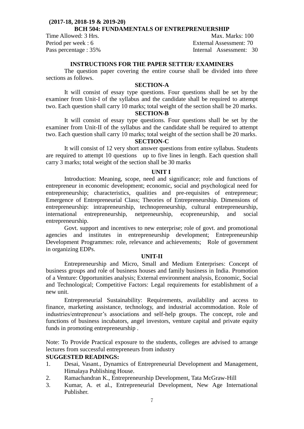## **(2017-18, 2018-19 & 2019-20) BCH 504: FUNDAMENTALS OF ENTREPRENUERSHIP**

Time Allowed: 3 Hrs. Max. Marks: 100 Period per week : 6 External Assessment: 70 Pass percentage : 35% Internal Assessment: 30

# **INSTRUCTIONS FOR THE PAPER SETTER/ EXAMINERS**

The question paper covering the entire course shall be divided into three sections as follows.

# **SECTION-A**

It will consist of essay type questions. Four questions shall be set by the examiner from Unit-I of the syllabus and the candidate shall be required to attempt two. Each question shall carry 10 marks; total weight of the section shall be 20 marks.

## **SECTION-B**

It will consist of essay type questions. Four questions shall be set by the examiner from Unit-II of the syllabus and the candidate shall be required to attempt two. Each question shall carry 10 marks; total weight of the section shall be 20 marks.

## **SECTION-C**

It will consist of 12 very short answer questions from entire syllabus. Students are required to attempt 10 questions up to five lines in length. Each question shall carry 3 marks; total weight of the section shall be 30 marks

## **UNIT I**

Introduction: Meaning, scope, need and significance; role and functions of entrepreneur in economic development; economic, social and psychological need for entrepreneurship; characteristics, qualities and pre-requisites of entrepreneur; Emergence of Entrepreneurial Class; Theories of Entrepreneurship. Dimensions of entrepreneurship: intrapreneurship, technopreneurship, cultural entrepreneurship, international entrepreneurship, netpreneurship, ecopreneurship, and social entrepreneurship.

Govt. support and incentives to new enterprise; role of govt. and promotional agencies and institutes in entrepreneurship development; Entrepreneurship Development Programmes: role, relevance and achievements; Role of government in organizing EDPs.

## **UNIT-II**

Entrepreneurship and Micro, Small and Medium Enterprises: Concept of business groups and role of business houses and family business in India. Promotion of a Venture: Opportunities analysis; External environment analysis, Economic, Social and Technological; Competitive Factors: Legal requirements for establishment of a new unit.

Entrepreneurial Sustainability: Requirements, availability and access to finance, marketing assistance, technology, and industrial accommodation. Role of industries/entrepreneur's associations and self-help groups. The concept, role and functions of business incubators, angel investors, venture capital and private equity funds in promoting entrepreneurship .

Note: To Provide Practical exposure to the students, colleges are advised to arrange lectures from successful entrepreneurs from industry

- 1. Desai, Vasant., Dynamics of Entrepreneurial Development and Management, Himalaya Publishing House.
- 2. Ramachandran K., Entrepreneurship Development, Tata McGraw-Hill
- 3. Kumar, A. et al., Entrepreneurial Development, New Age International Publisher.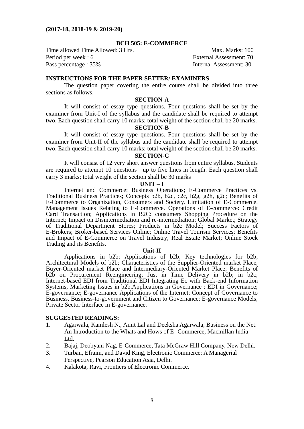#### **BCH 505: E-COMMERCE**

Time allowed Time Allowed: 3 Hrs. Max. Marks: 100 Period per week : 6 External Assessment: 70 Pass percentage : 35% Internal Assessment: 30

## **INSTRUCTIONS FOR THE PAPER SETTER/ EXAMINERS**

The question paper covering the entire course shall be divided into three sections as follows.

## **SECTION-A**

It will consist of essay type questions. Four questions shall be set by the examiner from Unit-I of the syllabus and the candidate shall be required to attempt two. Each question shall carry 10 marks; total weight of the section shall be 20 marks.

## **SECTION-B**

It will consist of essay type questions. Four questions shall be set by the examiner from Unit-II of the syllabus and the candidate shall be required to attempt two. Each question shall carry 10 marks; total weight of the section shall be 20 marks.

#### **SECTION-C**

It will consist of 12 very short answer questions from entire syllabus. Students are required to attempt 10 questions up to five lines in length. Each question shall carry 3 marks; total weight of the section shall be 30 marks

#### **UNIT – I**

Internet and Commerce: Business Operations; E-Commerce Practices vs. Traditional Business Practices; Concepts b2b, b2c, c2c, b2g, g2h, g2c; Benefits of E-Commerce to Organization, Consumers and Society. Limitation of E-Commerce. Management Issues Relating to E-Commerce. Operations of E-commerce: Credit Card Transaction; Applications in B2C: consumers Shopping Procedure on the Internet; Impact on Disintermediation and re-intermediation; Global Market; Strategy of Traditional Department Stores; Products in b2c Model; Success Factors of E-Brokers; Broker-based Services Online; Online Travel Tourism Services; Benefits and Impact of E-Commerce on Travel Industry; Real Estate Market; Online Stock Trading and its Benefits.

#### **Unit-II**

Applications in b2b: Applications of b2b; Key technologies for b2b; Architectural Models of b2b; Characteristics of the Supplier-Oriented market Place, Buyer-Oriented market Place and Intermediary-Oriented Market Place; Benefits of b2b on Procurement Reengineering; Just in Time Delivery in b2b; in b2c; Internet-based EDI from Traditional EDI Integrating Ec with Back-end Information Systems; Marketing Issues in b2b.Applications in Governance : EDI in Governance; E-governance; E-governance Applications of the Internet; Concept of Governance to Business, Business-to-government and Citizen to Governance; E-governance Models; Private Sector Interface in E-governance.

- 1. Agarwala, Kamlesh N., Amit Lal and Deeksha Agarwala, Business on the Net: An Introduction to the Whats and Hows of E -Commerce, Macmillan India Ltd.
- 2. Bajaj, Deobyani Nag, E-Commerce, Tata McGraw Hill Company, New Delhi.
- 3. Turban, Efraim, and David King, Electronic Commerce: A Managerial Perspective, Pearson Education Asia, Delhi.
- 4. Kalakota, Ravi, Frontiers of Electronic Commerce.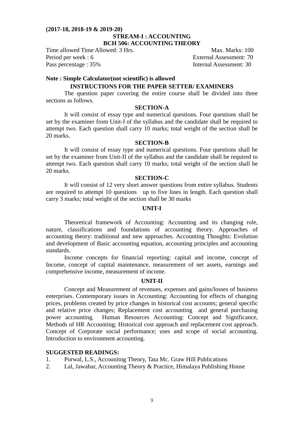# **(2017-18, 2018-19 & 2019-20) STREAM-I : ACCOUNTING BCH 506: ACCOUNTING THEORY**

Time allowed Time Allowed: 3 Hrs. Max. Marks: 100 Period per week : 6 External Assessment: 70 Pass percentage : 35% Internal Assessment: 30

#### **Note : Simple Calculator(not scientific) is allowed**

# **INSTRUCTIONS FOR THE PAPER SETTER/ EXAMINERS**

The question paper covering the entire course shall be divided into three sections as follows.

## **SECTION-A**

It will consist of essay type and numerical questions. Four questions shall be set by the examiner from Unit-I of the syllabus and the candidate shall be required to attempt two. Each question shall carry 10 marks; total weight of the section shall be 20 marks.

# **SECTION-B**

It will consist of essay type and numerical questions. Four questions shall be set by the examiner from Unit-II of the syllabus and the candidate shall be required to attempt two. Each question shall carry 10 marks; total weight of the section shall be 20 marks.

# **SECTION-C**

It will consist of 12 very short answer questions from entire syllabus. Students are required to attempt 10 questions up to five lines in length. Each question shall carry 3 marks; total weight of the section shall be 30 marks

## **UNIT-I**

Theoretical framework of Accounting: Accounting and its changing role, nature, classifications and foundations of accounting theory. Approaches of accounting theory: traditional and new approaches. Accounting Thoughts: Evolution and development of Basic accounting equation, accounting principles and accounting standards.

Income concepts for financial reporting: capital and income, concept of Income, concept of capital maintenance, measurement of net assets, earnings and comprehensive income, measurement of income.

## **UNIT-II**

Concept and Measurement of revenues, expenses and gains/losses of business enterprises. Contemporary issues in Accounting: Accounting for effects of changing prices, problems created by price changes in historical cost accounts; general specific and relative price changes; Replacement cost accounting and general purchasing power accounting. Human Resources Accounting: Concept and Significance, Methods of HR Accounting; Historical cost approach and replacement cost approach. Concept of Corporate social performance; uses and scope of social accounting. Introduction to environment accounting.

- 1. Porwal, L.S., Accounitng Theory, Tata Mc. Graw Hill Publications
- 2. Lal, Jawahar, Accounting Theory & Practice, Himalaya Publishing House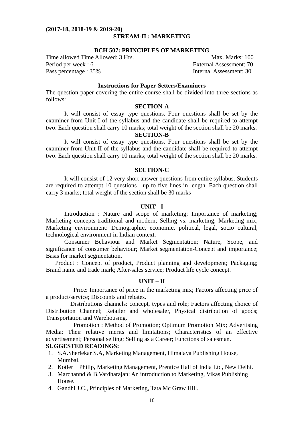#### **(2017-18, 2018-19 & 2019-20) STREAM-II : MARKETING**

## **BCH 507: PRINCIPLES OF MARKETING**

Time allowed Time Allowed: 3 Hrs. Max. Marks: 100 Period per week : 6 External Assessment: 70 Pass percentage : 35% Internal Assessment: 30

## **Instructions for Paper-Setters/Examiners**

The question paper covering the entire course shall be divided into three sections as follows:

# **SECTION-A**

It will consist of essay type questions. Four questions shall be set by the examiner from Unit-I of the syllabus and the candidate shall be required to attempt two. Each question shall carry 10 marks; total weight of the section shall be 20 marks.

# **SECTION-B**

It will consist of essay type questions. Four questions shall be set by the examiner from Unit-II of the syllabus and the candidate shall be required to attempt two. Each question shall carry 10 marks; total weight of the section shall be 20 marks.

# **SECTION-C**

It will consist of 12 very short answer questions from entire syllabus. Students are required to attempt 10 questions up to five lines in length. Each question shall carry 3 marks; total weight of the section shall be 30 marks

## **UNIT - I**

Introduction : Nature and scope of marketing; Importance of marketing; Marketing concepts-traditional and modern; Selling vs. marketing; Marketing mix; Marketing environment: Demographic, economic, political, legal, socio cultural, technological environment in Indian context.

Consumer Behaviour and Market Segmentation; Nature, Scope, and significance of consumer behaviour; Market segmentation-Concept and importance; Basis for market segmentation.

Product : Concept of product, Product planning and development; Packaging; Brand name and trade mark; After-sales service; Product life cycle concept.

## **UNIT – II**

 Price: Importance of price in the marketing mix; Factors affecting price of a product/service; Discounts and rebates.

 Distributions channels: concept, types and role; Factors affecting choice of Distribution Channel; Retailer and wholesaler, Physical distribution of goods; Transportation and Warehousing.

Promotion : Method of Promotion; Optimum Promotion Mix; Advertising Media: Their relative merits and limitations; Characteristics of an effective advertisement; Personal selling; Selling as a Career; Functions of salesman. **SUGGESTED READINGS:** 

# 1. S.A.Sherlekar S.A, Marketing Management, Himalaya Publishing House, Mumbai.

- 2. Kotler Philip, Marketing Management, Prentice Hall of India Ltd, New Delhi.
- 3. Marchannd & B.Vardharajan: An introduction to Marketing, Vikas Publishing House.
- 4. Gandhi J.C., Principles of Marketing, Tata Mc Graw Hill.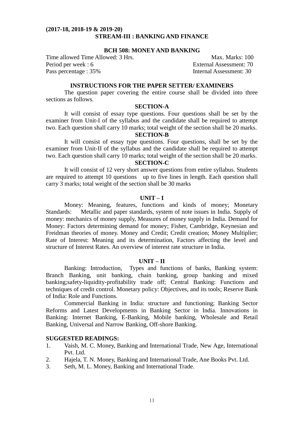## **(2017-18, 2018-19 & 2019-20) STREAM-III : BANKING AND FINANCE**

## **BCH 508: MONEY AND BANKING**

Time allowed Time Allowed: 3 Hrs. Max. Marks: 100 Period per week : 6 External Assessment: 70 Pass percentage : 35% Internal Assessment: 30

## **INSTRUCTIONS FOR THE PAPER SETTER/ EXAMINERS**

The question paper covering the entire course shall be divided into three sections as follows.

## **SECTION-A**

It will consist of essay type questions. Four questions shall be set by the examiner from Unit-I of the syllabus and the candidate shall be required to attempt two. Each question shall carry 10 marks; total weight of the section shall be 20 marks.

# **SECTION-B**

It will consist of essay type questions. Four questions, shall be set by the examiner from Unit-II of the syllabus and the candidate shall be required to attempt two. Each question shall carry 10 marks; total weight of the section shall be 20 marks.

# **SECTION-C**

It will consist of 12 very short answer questions from entire syllabus. Students are required to attempt 10 questions up to five lines in length. Each question shall carry 3 marks; total weight of the section shall be 30 marks

#### **UNIT – I**

Money: Meaning, features, functions and kinds of money; Monetary Standards: Metallic and paper standards, system of note issues in India. Supply of money: mechanics of money supply, Measures of money supply in India. Demand for Money: Factors determining demand for money; Fisher, Cambridge, Keynesian and Freidman theories of money. Money and Credit; Credit creation; Money Multiplier; Rate of Interest: Meaning and its determination, Factors affecting the level and structure of Interest Rates. An overview of interest rate structure in India.

#### **UNIT – II**

Banking: Introduction, Types and functions of banks, Banking system: Branch Banking, unit banking, chain banking, group banking and mixed banking;safety-liquidity-profitability trade off; Central Banking: Functions and techniques of credit control. Monetary policy: Objectives, and its tools; Reserve Bank of India: Role and Functions.

Commercial Banking in India: structure and functioning; Banking Sector Reforms and Latest Developments in Banking Sector in India. Innovations in Banking: Internet Banking, E-Banking, Mobile banking, Wholesale and Retail Banking, Universal and Narrow Banking, Off-shore Banking.

- 1. Vaish, M. C. Money, Banking and International Trade, New Age, International Pvt. Ltd.
- 2. Hajela, T. N. Money, Banking and International Trade, Ane Books Pvt. Ltd.
- 3. Seth, M. L. Money, Banking and International Trade.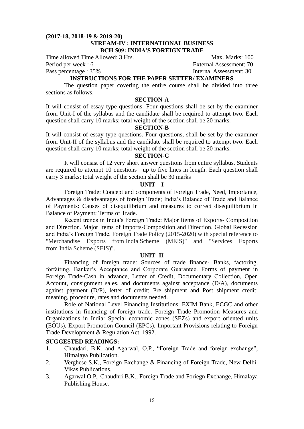# **(2017-18, 2018-19 & 2019-20) STREAM-IV : INTERNATIONAL BUSINESS BCH 509: INDIA'S FOREIGN TRADE**

Time allowed Time Allowed: 3 Hrs. Max. Marks: 100

Pass percentage : 35% Internal Assessment: 30

Period per week : 6 External Assessment: 70

# **INSTRUCTIONS FOR THE PAPER SETTER/ EXAMINERS**

The question paper covering the entire course shall be divided into three sections as follows.

# **SECTION-A**

It will consist of essay type questions. Four questions shall be set by the examiner from Unit-I of the syllabus and the candidate shall be required to attempt two. Each question shall carry 10 marks; total weight of the section shall be 20 marks.

# **SECTION-B**

It will consist of essay type questions. Four questions, shall be set by the examiner from Unit-II of the syllabus and the candidate shall be required to attempt two. Each question shall carry 10 marks; total weight of the section shall be 20 marks.

## **SECTION-C**

It will consist of 12 very short answer questions from entire syllabus. Students are required to attempt 10 questions up to five lines in length. Each question shall carry 3 marks; total weight of the section shall be 30 marks

## **UNIT – I**

Foreign Trade: Concept and components of Foreign Trade, Need, Importance, Advantages & disadvantages of foreign Trade; India's Balance of Trade and Balance of Payments: Causes of disequilibrium and measures to correct disequilibrium in Balance of Payment; Terms of Trade.

Recent trends in India's Foreign Trade: Major Items of Exports- Composition and Direction. Major Items of Imports-Composition and Direction. Global Recession and India's Foreign Trade. Foreign Trade Policy (2015-2020) with special reference to "Merchandise Exports from India Scheme (MEIS)" and "Services Exports from India Scheme (SEIS)".

## **UNIT -II**

Financing of foreign trade: Sources of trade finance- Banks, factoring, forfaiting, Banker's Acceptance and Corporate Guarantee. Forms of payment in Foreign Trade-Cash in advance, Letter of Credit, Documentary Collection, Open Account, consignment sales, and documents against acceptance (D/A), documents against payment (D/P), letter of credit; Pre shipment and Post shipment credit: meaning, procedure, rates and documents needed.

Role of National Level Financing Institutions: EXIM Bank, ECGC and other institutions in financing of foreign trade. Foreign Trade Promotion Measures and Organizations in India: Special economic zones (SEZs) and export oriented units (EOUs), Export Promotion Council (EPCs). Important Provisions relating to Foreign Trade Development & Regulation Act, 1992.

- 1. Chaudari, B.K. and Agarwal, O.P., "Foreign Trade and foreign exchange", Himalaya Publication.
- 2. Verghese S.K., Foreign Exchange & Financing of Foreign Trade, New Delhi, Vikas Publications.
- 3. Agarwal O.P., Chaudhri B.K., Foreign Trade and Foriegn Exchange, Himalaya Publishing House.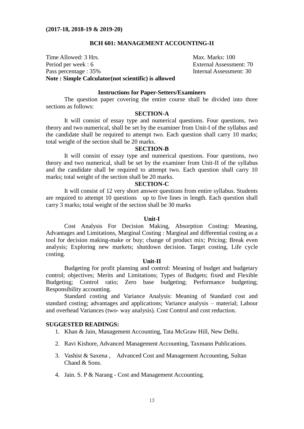## **BCH 601: MANAGEMENT ACCOUNTING-II**

Time Allowed: 3 Hrs. Max. Marks: 100 Period per week : 6 External Assessment: 70 Pass percentage : 35% Internal Assessment: 30 **Note : Simple Calculator(not scientific) is allowed**

## **Instructions for Paper-Setters/Examiners**

The question paper covering the entire course shall be divided into three sections as follows:

## **SECTION-A**

It will consist of essay type and numerical questions. Four questions, two theory and two numerical, shall be set by the examiner from Unit-I of the syllabus and the candidate shall be required to attempt two. Each question shall carry 10 marks; total weight of the section shall be 20 marks.

## **SECTION-B**

It will consist of essay type and numerical questions. Four questions, two theory and two numerical, shall be set by the examiner from Unit-II of the syllabus and the candidate shall be required to attempt two. Each question shall carry 10 marks; total weight of the section shall be 20 marks.

#### **SECTION-C**

It will consist of 12 very short answer questions from entire syllabus. Students are required to attempt 10 questions up to five lines in length. Each question shall carry 3 marks; total weight of the section shall be 30 marks

#### **Unit-I**

Cost Analysis For Decision Making, Absorption Costing: Meaning, Advantages and Limitations, Marginal Costing : Marginal and differential costing as a tool for decision making-make or buy; change of product mix; Pricing; Break even analysis; Exploring new markets; shutdown decision. Target costing, Life cycle costing.

#### **Unit-II**

Budgeting for profit planning and control: Meaning of budget and budgetary control; objectives; Merits and Limitations; Types of Budgets; fixed and Flexible Budgeting; Control ratio; Zero base budgeting; Performance budgeting; Responsibility accounting.

Standard costing and Variance Analysis: Meaning of Standard cost and standard costing; advantages and applications; Variance analysis – material; Labour and overhead Variances (two- way analysis). Cost Control and cost reduction.

- 1. Khan & Jain, Management Accounting, Tata McGraw Hill, New Delhi.
- 2. Ravi Kishore, Advanced Management Accounting, Taxmann Publications.
- 3. Vashist & Saxena , Advanced Cost and Management Accounting, Sultan Chand & Sons.
- 4. Jain. S. P & Narang Cost and Management Accounting.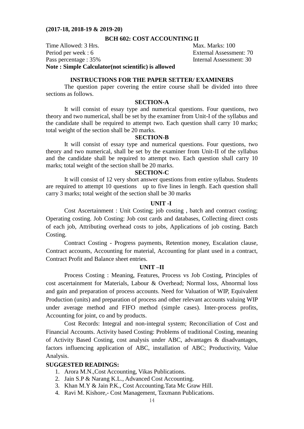## **BCH 602: COST ACCOUNTING II**

Time Allowed: 3 Hrs. Max. Marks: 100 Period per week : 6 External Assessment: 70 Pass percentage : 35% Internal Assessment: 30 **Note : Simple Calculator(not scientific) is allowed**

#### **INSTRUCTIONS FOR THE PAPER SETTER/ EXAMINERS**

The question paper covering the entire course shall be divided into three sections as follows.

# **SECTION-A**

It will consist of essay type and numerical questions. Four questions, two theory and two numerical, shall be set by the examiner from Unit-I of the syllabus and the candidate shall be required to attempt two. Each question shall carry 10 marks; total weight of the section shall be 20 marks.

## **SECTION-B**

It will consist of essay type and numerical questions. Four questions, two theory and two numerical, shall be set by the examiner from Unit-II of the syllabus and the candidate shall be required to attempt two. Each question shall carry 10 marks; total weight of the section shall be 20 marks.

## **SECTION-C**

It will consist of 12 very short answer questions from entire syllabus. Students are required to attempt 10 questions up to five lines in length. Each question shall carry 3 marks; total weight of the section shall be 30 marks

## **UNIT -I**

Cost Ascertainment : Unit Costing; job costing , batch and contract costing; Operating costing. Job Costing: Job cost cards and databases, Collecting direct costs of each job, Attributing overhead costs to jobs, Applications of job costing. Batch Costing.

Contract Costing - Progress payments, Retention money, Escalation clause, Contract accounts, Accounting for material, Accounting for plant used in a contract, Contract Profit and Balance sheet entries.

#### **UNIT –II**

Process Costing : Meaning, Features, Process vs Job Costing, Principles of cost ascertainment for Materials, Labour & Overhead; Normal loss, Abnormal loss and gain and preparation of process accounts. Need for Valuation of WIP, Equivalent Production (units) and preparation of process and other relevant accounts valuing WIP under average method and FIFO method (simple cases). Inter-process profits, Accounting for joint, co and by products.

Cost Records: Integral and non-integral system; Reconciliation of Cost and Financial Accounts. Activity based Costing: Problems of traditional Costing, meaning of Activity Based Costing, cost analysis under ABC, advantages & disadvantages, factors influencing application of ABC, installation of ABC; Productivity, Value Analysis.

- 1. Arora M.N.,Cost Accounting, Vikas Publications.
- 2. Jain S.P & Narang K.L., Advanced Cost Accounting.
- 3. Khan M.Y & Jain P.K., Cost Accounting.Tata Mc Graw Hill.
- 4. Ravi M. Kishore,- Cost Management, Taxmann Publications.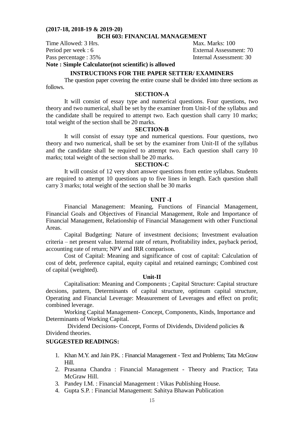## **BCH 603: FINANCIAL MANAGEMENT**

Time Allowed: 3 Hrs. Max. Marks: 100

Period per week : 6 External Assessment: 70 Pass percentage : 35% Internal Assessment: 30

**Note : Simple Calculator(not scientific) is allowed**

#### **INSTRUCTIONS FOR THE PAPER SETTER/ EXAMINERS**

The question paper covering the entire course shall be divided into three sections as follows.

# **SECTION-A**

It will consist of essay type and numerical questions. Four questions, two theory and two numerical, shall be set by the examiner from Unit-I of the syllabus and the candidate shall be required to attempt two. Each question shall carry 10 marks; total weight of the section shall be 20 marks.

#### **SECTION-B**

It will consist of essay type and numerical questions. Four questions, two theory and two numerical, shall be set by the examiner from Unit-II of the syllabus and the candidate shall be required to attempt two. Each question shall carry 10 marks; total weight of the section shall be 20 marks.

#### **SECTION-C**

It will consist of 12 very short answer questions from entire syllabus. Students are required to attempt 10 questions up to five lines in length. Each question shall carry 3 marks; total weight of the section shall be 30 marks

## **UNIT -I**

Financial Management: Meaning, Functions of Financial Management, Financial Goals and Objectives of Financial Management, Role and Importance of Financial Management, Relationship of Financial Management with other Functional Areas.

Capital Budgeting: Nature of investment decisions; Investment evaluation criteria – net present value. Internal rate of return, Profitability index, payback period, accounting rate of return; NPV and IRR comparison.

Cost of Capital: Meaning and significance of cost of capital: Calculation of cost of debt, preference capital, equity capital and retained earnings; Combined cost of capital (weighted).

#### **Unit-II**

Capitalisation: Meaning and Components ; Capital Structure: Capital structure decsions, pattern, Determinants of capital structure, optimum capital structure, Operating and Financial Leverage: Measurement of Leverages and effect on profit; combined leverage.

Working Capital Management- Concept, Components, Kinds, Importance and Determinants of Working Capital.

Dividend Decisions- Concept, Forms of Dividends, Dividend policies & Dividend theories.

- 1. Khan M.Y. and Jain P.K. : Financial Management Text and Problems; Tata McGraw Hill.
- 2. Prasanna Chandra : Financial Management Theory and Practice; Tata McGraw Hill.
- 3. Pandey I.M. : Financial Management : Vikas Publishing House.
- 4. Gupta S.P. : Financial Management: Sahitya Bhawan Publication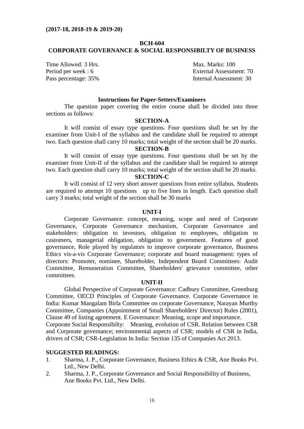# **BCH-604 CORPORATE GOVERNANCE & SOCIAL RESPONSIBILTY OF BUSINESS**

Time Allowed: 3 Hrs. Max. Marks: 100

Period per week : 6 External Assessment: 70 Pass percentage: 35% Internal Assessment: 30

# **Instructions for Paper-Setters/Examiners**

The question paper covering the entire course shall be divided into three sections as follows:

# **SECTION-A**

It will consist of essay type questions. Four questions shall be set by the examiner from Unit-I of the syllabus and the candidate shall be required to attempt two. Each question shall carry 10 marks; total weight of the section shall be 20 marks.

# **SECTION-B**

It will consist of essay type questions. Four questions shall be set by the examiner from Unit-II of the syllabus and the candidate shall be required to attempt two. Each question shall carry 10 marks; total weight of the section shall be 20 marks. **SECTION-C**

It will consist of 12 very short answer questions from entire syllabus. Students are required to attempt 10 questions up to five lines in length. Each question shall carry 3 marks; total weight of the section shall be 30 marks

#### **UNIT-I**

Corporate Governance: concept, meaning, scope and need of Corporate Governance, Corporate Governance mechanism, Corporate Governance and stakeholders: obligation to investors, obligation to employees, obligation to customers, managerial obligation, obligation to government. Features of good governance, Role played by regulators to improve corporate governance, Business Ethics vis-a-vis Corporate Governance; corporate and board management: types of directors: Promoter, nominee, Shareholder, Independent Board Committees: Audit Committee, Remuneration Committee, Shareholders' grievance committee, other committees.

## **UNIT-II**

Global Perspective of Corporate Governance: Cadbury Committee, Greenburg Committee, OECD Principles of Corporate Governance. Corporate Governance in India: Kumar Mangalam Birla Committee on corporate Governance, Narayan Murthy Committee, Companies (Appointment of Small Shareholders' Director) Rules (2001), Clause 49 of listing agreement. E Governance: Meaning, scope and importance. Corporate Social Responsibilty: Meaning, evolution of CSR. Relation between CSR and Corporate governance; environmental aspects of CSR; models of CSR in India, drivers of CSR; CSR-Legislation In India: Section 135 of Companies Act 2013.

- 1. Sharma, J. P., Corporate Governance, Business Ethics & CSR, Ane Books Pvt. Ltd., New Delhi.
- 2. Sharma, J. P., Corporate Governance and Social Responsibility of Business, Ane Books Pvt. Ltd., New Delhi.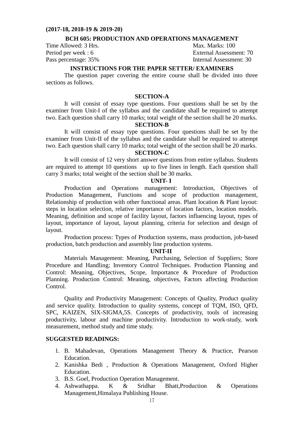## **BCH 605: PRODUCTION AND OPERATIONS MANAGEMENT**

Time Allowed: 3 Hrs. Max. Marks: 100

Period per week : 6 External Assessment: 70 Pass percentage: 35% Internal Assessment: 30

# **INSTRUCTIONS FOR THE PAPER SETTER/ EXAMINERS**

The question paper covering the entire course shall be divided into three sections as follows.

## **SECTION-A**

It will consist of essay type questions. Four questions shall be set by the examiner from Unit-I of the syllabus and the candidate shall be required to attempt two. Each question shall carry 10 marks; total weight of the section shall be 20 marks.

## **SECTION-B**

It will consist of essay type questions. Four questions shall be set by the examiner from Unit-II of the syllabus and the candidate shall be required to attempt two. Each question shall carry 10 marks; total weight of the section shall be 20 marks.

## **SECTION-C**

It will consist of 12 very short answer questions from entire syllabus. Students are required to attempt 10 questions up to five lines in length. Each question shall carry 3 marks; total weight of the section shall be 30 marks.

# **UNIT- I**

Production and Operations management: Introduction, Objectives of Production Management, Functions and scope of production management, Relationship of production with other functional areas. Plant location & Plant layout: steps in location selection, relative importance of location factors, location models. Meaning, definition and scope of facility layout, factors influencing layout, types of layout, importance of layout, layout planning, criteria for selection and design of layout.

Production process: Types of Production systems, mass production, job-based production, batch production and assembly line production systems.

#### **UNIT-II**

Materials Management: Meaning, Purchasing, Selection of Suppliers; Store Procedure and Handling; Inventory Control Techniques. Production Planning and Control: Meaning, Objectives, Scope, Importance & Procedure of Production Planning. Production Control: Meaning, objectives, Factors affecting Production Control.

Quality and Productivity Management: Concepts of Quality, Product quality and service quality. Introduction to quality systems, concept of TQM, ISO, QFD, SPC, KAIZEN, SIX-SIGMA,5S. Concepts of productivity, tools of increasing productivity, labour and machine productivity. Introduction to work-study, work measurement, method study and time study.

- 1. B. Mahadevan, Operations Management Theory & Practice, Pearson Education.
- 2. Kanishka Bedi , Production & Operations Management, Oxford Higher Education.
- 3. B.S. Goel, Production Operation Management.
- 4. Ashwathappa. K & Sridhar Bhatt,Production & Operations Management,Himalaya Publishing House.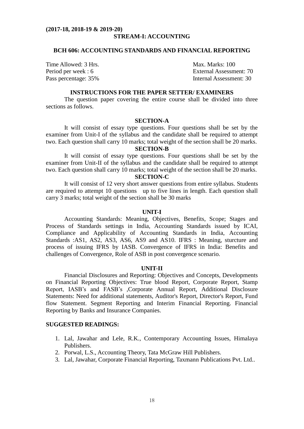#### **(2017-18, 2018-19 & 2019-20) STREAM-I: ACCOUNTING**

## **BCH 606: ACCOUNTING STANDARDS AND FINANCIAL REPORTING**

Time Allowed: 3 Hrs. Max. Marks: 100

Period per week : 6 External Assessment: 70 Pass percentage: 35% Internal Assessment: 30

# **INSTRUCTIONS FOR THE PAPER SETTER/ EXAMINERS**

The question paper covering the entire course shall be divided into three sections as follows.

## **SECTION-A**

It will consist of essay type questions. Four questions shall be set by the examiner from Unit-I of the syllabus and the candidate shall be required to attempt two. Each question shall carry 10 marks; total weight of the section shall be 20 marks.

# **SECTION-B**

It will consist of essay type questions. Four questions shall be set by the examiner from Unit-II of the syllabus and the candidate shall be required to attempt two. Each question shall carry 10 marks; total weight of the section shall be 20 marks. **SECTION-C**

It will consist of 12 very short answer questions from entire syllabus. Students are required to attempt 10 questions up to five lines in length. Each question shall carry 3 marks; total weight of the section shall be 30 marks

#### **UNIT-I**

Accounting Standards: Meaning, Objectives, Benefits, Scope; Stages and Process of Standards settings in India, Accounting Standards issued by ICAI, Compliance and Applicability of Accounting Standards in India, Accounting Standards :AS1, AS2, AS3, AS6, AS9 and AS10. IFRS : Meaning, sturcture and process of issuing IFRS by IASB. Convergence of IFRS in India: Benefits and challenges of Convergence, Role of ASB in post convergence scenario.

#### **UNIT-II**

Financial Disclosures and Reporting: Objectives and Concepts, Developments on Financial Reporting Objectives: True blood Report, Corporate Report, Stamp Report, IASB's and FASB's ,Corporate Annual Report, Additional Disclosure Statements: Need for additional statements, Auditor's Report, Director's Report, Fund flow Statement. Segment Reporting and Interim Financial Reporting. Financial Reporting by Banks and Insurance Companies.

- 1. Lal, Jawahar and Lele, R.K., Contemporary Accounting Issues, Himalaya Publishers.
- 2. Porwal, L.S., Accounting Theory, Tata McGraw Hill Publishers.
- 3. Lal, Jawahar, Corporate Financial Reporting, Taxmann Publications Pvt. Ltd..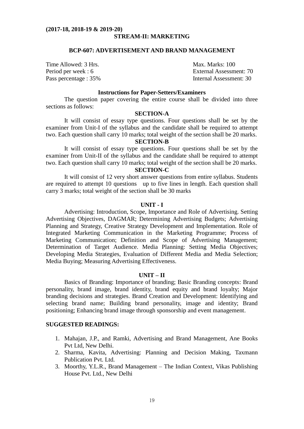#### **(2017-18, 2018-19 & 2019-20) STREAM-II: MARKETING**

#### **BCP-607: ADVERTISEMENT AND BRAND MANAGEMENT**

Time Allowed: 3 Hrs. Max. Marks: 100

Period per week : 6 External Assessment: 70 Pass percentage : 35% Internal Assessment: 30

# **Instructions for Paper-Setters/Examiners**

The question paper covering the entire course shall be divided into three sections as follows:

#### **SECTION-A**

It will consist of essay type questions. Four questions shall be set by the examiner from Unit-I of the syllabus and the candidate shall be required to attempt two. Each question shall carry 10 marks; total weight of the section shall be 20 marks.

## **SECTION-B**

It will consist of essay type questions. Four questions shall be set by the examiner from Unit-II of the syllabus and the candidate shall be required to attempt two. Each question shall carry 10 marks; total weight of the section shall be 20 marks.

# **SECTION-C**

It will consist of 12 very short answer questions from entire syllabus. Students are required to attempt 10 questions up to five lines in length. Each question shall carry 3 marks; total weight of the section shall be 30 marks

## **UNIT - I**

Advertising: Introduction, Scope, Importance and Role of Advertising. Setting Advertising Objectives, DAGMAR; Determining Advertising Budgets; Advertising Planning and Strategy, Creative Strategy Development and Implementation. Role of Integrated Marketing Communication in the Marketing Programme; Process of Marketing Communication; Definition and Scope of Advertising Management; Determination of Target Audience. Media Planning: Setting Media Objectives; Developing Media Strategies, Evaluation of Different Media and Media Selection; Media Buying; Measuring Advertising Effectiveness.

#### **UNIT – II**

Basics of Branding: Importance of branding; Basic Branding concepts: Brand personality, brand image, brand identity, brand equity and brand loyalty; Major branding decisions and strategies. Brand Creation and Development: Identifying and selecting brand name; Building brand personality, image and identity; Brand positioning; Enhancing brand image through sponsorship and event management.

- 1. Mahajan, J.P., and Ramki, Advertising and Brand Management, Ane Books Pvt Ltd, New Delhi.
- 2. Sharma, Kavita, Advertising: Planning and Decision Making, Taxmann Publication Pvt. Ltd.
- 3. Moorthy, Y.L.R., Brand Management The Indian Context, Vikas Publishing House Pvt. Ltd., New Delhi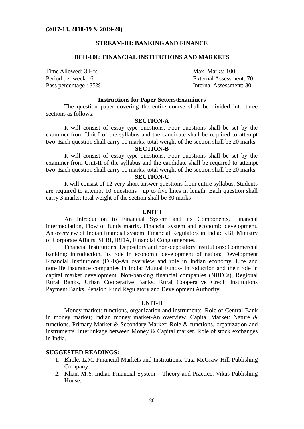## **STREAM-III: BANKING AND FINANCE**

#### **BCH-608: FINANCIAL INSTITUTIONS AND MARKETS**

Time Allowed: 3 Hrs. Max. Marks: 100

Period per week : 6 External Assessment: 70 Pass percentage : 35% Internal Assessment: 30

#### **Instructions for Paper-Setters/Examiners**

The question paper covering the entire course shall be divided into three sections as follows:

# **SECTION-A**

It will consist of essay type questions. Four questions shall be set by the examiner from Unit-I of the syllabus and the candidate shall be required to attempt two. Each question shall carry 10 marks; total weight of the section shall be 20 marks.

# **SECTION-B**

It will consist of essay type questions. Four questions shall be set by the examiner from Unit-II of the syllabus and the candidate shall be required to attempt two. Each question shall carry 10 marks; total weight of the section shall be 20 marks.

# **SECTION-C**

It will consist of 12 very short answer questions from entire syllabus. Students are required to attempt 10 questions up to five lines in length. Each question shall carry 3 marks; total weight of the section shall be 30 marks

#### **UNIT I**

An Introduction to Financial System and its Components, Financial intermediation, Flow of funds matrix. Financial system and economic development. An overview of Indian financial system. Financial Regulators in India: RBI, Ministry of Corporate Affairs, SEBI, IRDA, Financial Conglomerates.

Financial Institutions: Depository and non-depository institutions; Commercial banking: introduction, its role in economic development of nation; Development Financial Institutions (DFIs)-An overview and role in Indian economy. Life and non-life insurance companies in India; Mutual Funds- Introduction and their role in capital market development. Non-banking financial companies (NBFCs), Regional Rural Banks, Urban Cooperative Banks, Rural Cooperative Credit Institutions Payment Banks, Pension Fund Regulatory and Development Authority.

#### **UNIT-II**

Money market: functions, organization and instruments. Role of Central Bank in money market; Indian money market-An overview. Capital Market: Nature & functions. Primary Market & Secondary Market: Role & functions, organization and instruments. Interlinkage between Money & Capital market. Role of stock exchanges in India.

- 1. Bhole, L.M. Financial Markets and Institutions. Tata McGraw-Hill Publishing Company.
- 2. Khan, M.Y. Indian Financial System Theory and Practice. Vikas Publishing House.